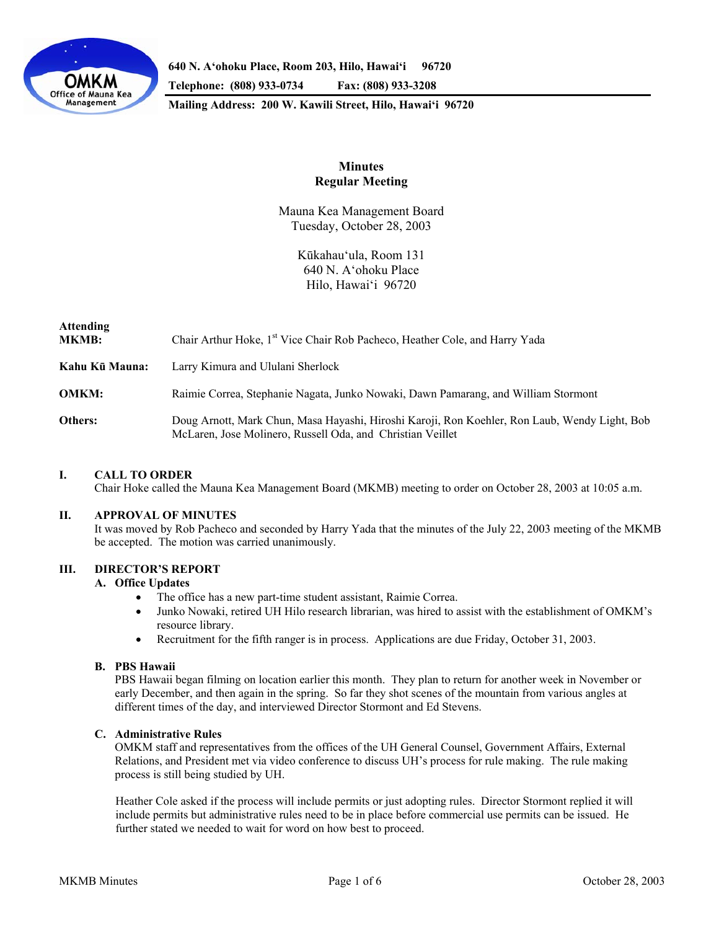

**640 N. A'ohoku Place, Room 203, Hilo, Hawai'i 96720** 

**Telephone: (808) 933-0734 Fax: (808) 933-3208** 

**Mailing Address: 200 W. Kawili Street, Hilo, Hawai'i 96720** 

# **Minutes Regular Meeting**

Mauna Kea Management Board Tuesday, October 28, 2003

> Kūkahau'ula, Room 131 640 N. A'ohoku Place Hilo, Hawai'i 96720

| <b>Attending</b><br><b>MKMB:</b> | Chair Arthur Hoke, 1 <sup>st</sup> Vice Chair Rob Pacheco, Heather Cole, and Harry Yada                                                                     |
|----------------------------------|-------------------------------------------------------------------------------------------------------------------------------------------------------------|
| Kahu Kū Mauna:                   | Larry Kimura and Ululani Sherlock                                                                                                                           |
| <b>OMKM:</b>                     | Raimie Correa, Stephanie Nagata, Junko Nowaki, Dawn Pamarang, and William Stormont                                                                          |
| Others:                          | Doug Arnott, Mark Chun, Masa Hayashi, Hiroshi Karoji, Ron Koehler, Ron Laub, Wendy Light, Bob<br>McLaren, Jose Molinero, Russell Oda, and Christian Veillet |

### **I. CALL TO ORDER**

Chair Hoke called the Mauna Kea Management Board (MKMB) meeting to order on October 28, 2003 at 10:05 a.m.

#### **II. APPROVAL OF MINUTES**

 It was moved by Rob Pacheco and seconded by Harry Yada that the minutes of the July 22, 2003 meeting of the MKMB be accepted. The motion was carried unanimously.

# **III. DIRECTOR'S REPORT**

#### **A. Office Updates**

- The office has a new part-time student assistant, Raimie Correa.
- Junko Nowaki, retired UH Hilo research librarian, was hired to assist with the establishment of OMKM's resource library.
- Recruitment for the fifth ranger is in process. Applications are due Friday, October 31, 2003.

### **B. PBS Hawaii**

 PBS Hawaii began filming on location earlier this month. They plan to return for another week in November or early December, and then again in the spring. So far they shot scenes of the mountain from various angles at different times of the day, and interviewed Director Stormont and Ed Stevens.

#### **C. Administrative Rules**

 OMKM staff and representatives from the offices of the UH General Counsel, Government Affairs, External Relations, and President met via video conference to discuss UH's process for rule making. The rule making process is still being studied by UH.

 Heather Cole asked if the process will include permits or just adopting rules. Director Stormont replied it will include permits but administrative rules need to be in place before commercial use permits can be issued. He further stated we needed to wait for word on how best to proceed.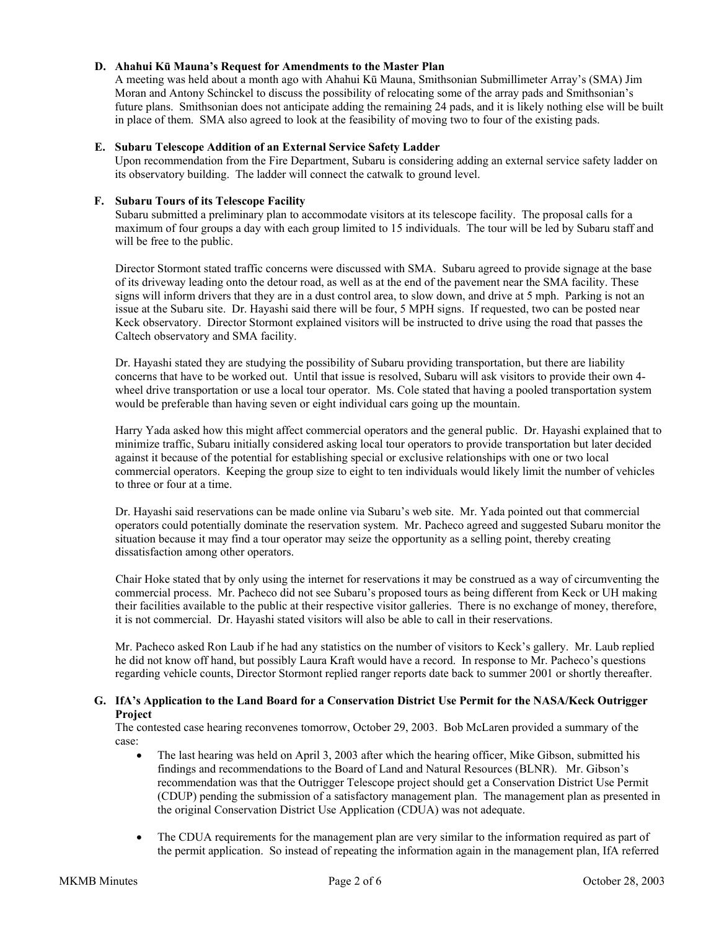### **D. Ahahui Kū Mauna's Request for Amendments to the Master Plan**

 A meeting was held about a month ago with Ahahui Kū Mauna, Smithsonian Submillimeter Array's (SMA) Jim Moran and Antony Schinckel to discuss the possibility of relocating some of the array pads and Smithsonian's future plans. Smithsonian does not anticipate adding the remaining 24 pads, and it is likely nothing else will be built in place of them. SMA also agreed to look at the feasibility of moving two to four of the existing pads.

### **E. Subaru Telescope Addition of an External Service Safety Ladder**

Upon recommendation from the Fire Department, Subaru is considering adding an external service safety ladder on its observatory building. The ladder will connect the catwalk to ground level.

### **F. Subaru Tours of its Telescope Facility**

Subaru submitted a preliminary plan to accommodate visitors at its telescope facility. The proposal calls for a maximum of four groups a day with each group limited to 15 individuals. The tour will be led by Subaru staff and will be free to the public.

Director Stormont stated traffic concerns were discussed with SMA. Subaru agreed to provide signage at the base of its driveway leading onto the detour road, as well as at the end of the pavement near the SMA facility. These signs will inform drivers that they are in a dust control area, to slow down, and drive at 5 mph. Parking is not an issue at the Subaru site. Dr. Hayashi said there will be four, 5 MPH signs. If requested, two can be posted near Keck observatory. Director Stormont explained visitors will be instructed to drive using the road that passes the Caltech observatory and SMA facility.

Dr. Hayashi stated they are studying the possibility of Subaru providing transportation, but there are liability concerns that have to be worked out. Until that issue is resolved, Subaru will ask visitors to provide their own 4 wheel drive transportation or use a local tour operator. Ms. Cole stated that having a pooled transportation system would be preferable than having seven or eight individual cars going up the mountain.

Harry Yada asked how this might affect commercial operators and the general public. Dr. Hayashi explained that to minimize traffic, Subaru initially considered asking local tour operators to provide transportation but later decided against it because of the potential for establishing special or exclusive relationships with one or two local commercial operators. Keeping the group size to eight to ten individuals would likely limit the number of vehicles to three or four at a time.

Dr. Hayashi said reservations can be made online via Subaru's web site. Mr. Yada pointed out that commercial operators could potentially dominate the reservation system. Mr. Pacheco agreed and suggested Subaru monitor the situation because it may find a tour operator may seize the opportunity as a selling point, thereby creating dissatisfaction among other operators.

Chair Hoke stated that by only using the internet for reservations it may be construed as a way of circumventing the commercial process. Mr. Pacheco did not see Subaru's proposed tours as being different from Keck or UH making their facilities available to the public at their respective visitor galleries. There is no exchange of money, therefore, it is not commercial. Dr. Hayashi stated visitors will also be able to call in their reservations.

Mr. Pacheco asked Ron Laub if he had any statistics on the number of visitors to Keck's gallery. Mr. Laub replied he did not know off hand, but possibly Laura Kraft would have a record. In response to Mr. Pacheco's questions regarding vehicle counts, Director Stormont replied ranger reports date back to summer 2001 or shortly thereafter.

### **G. IfA's Application to the Land Board for a Conservation District Use Permit for the NASA/Keck Outrigger Project**

The contested case hearing reconvenes tomorrow, October 29, 2003. Bob McLaren provided a summary of the case:

- The last hearing was held on April 3, 2003 after which the hearing officer, Mike Gibson, submitted his findings and recommendations to the Board of Land and Natural Resources (BLNR). Mr. Gibson's recommendation was that the Outrigger Telescope project should get a Conservation District Use Permit (CDUP) pending the submission of a satisfactory management plan. The management plan as presented in the original Conservation District Use Application (CDUA) was not adequate.
- The CDUA requirements for the management plan are very similar to the information required as part of the permit application. So instead of repeating the information again in the management plan, IfA referred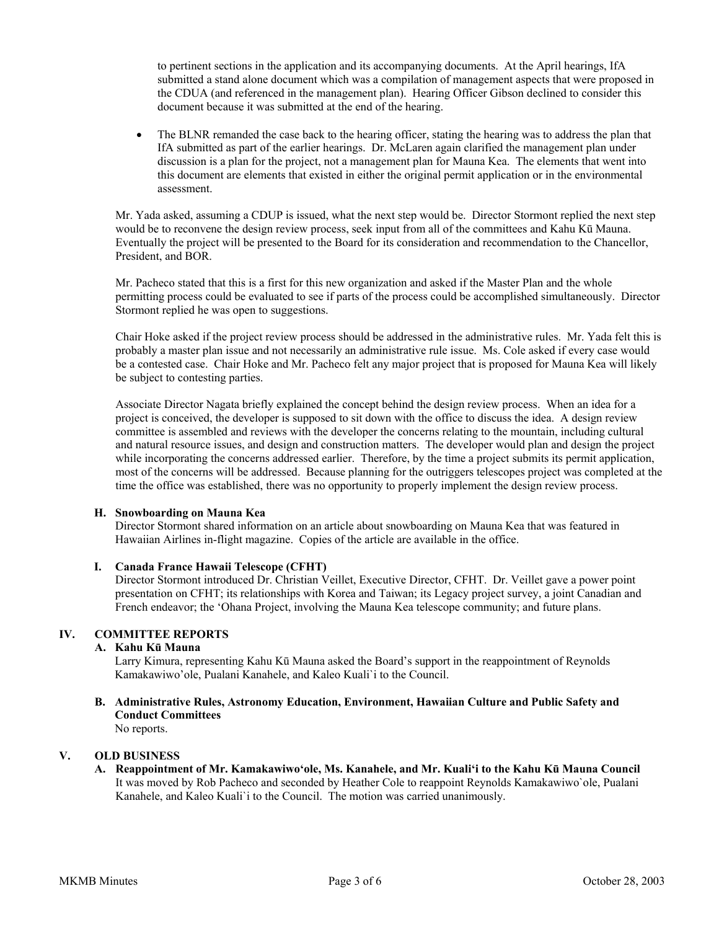to pertinent sections in the application and its accompanying documents. At the April hearings, IfA submitted a stand alone document which was a compilation of management aspects that were proposed in the CDUA (and referenced in the management plan). Hearing Officer Gibson declined to consider this document because it was submitted at the end of the hearing.

• The BLNR remanded the case back to the hearing officer, stating the hearing was to address the plan that IfA submitted as part of the earlier hearings. Dr. McLaren again clarified the management plan under discussion is a plan for the project, not a management plan for Mauna Kea. The elements that went into this document are elements that existed in either the original permit application or in the environmental assessment.

 Mr. Yada asked, assuming a CDUP is issued, what the next step would be. Director Stormont replied the next step would be to reconvene the design review process, seek input from all of the committees and Kahu Kū Mauna. Eventually the project will be presented to the Board for its consideration and recommendation to the Chancellor, President, and BOR.

 Mr. Pacheco stated that this is a first for this new organization and asked if the Master Plan and the whole permitting process could be evaluated to see if parts of the process could be accomplished simultaneously. Director Stormont replied he was open to suggestions.

 Chair Hoke asked if the project review process should be addressed in the administrative rules. Mr. Yada felt this is probably a master plan issue and not necessarily an administrative rule issue. Ms. Cole asked if every case would be a contested case. Chair Hoke and Mr. Pacheco felt any major project that is proposed for Mauna Kea will likely be subject to contesting parties.

 Associate Director Nagata briefly explained the concept behind the design review process. When an idea for a project is conceived, the developer is supposed to sit down with the office to discuss the idea. A design review committee is assembled and reviews with the developer the concerns relating to the mountain, including cultural and natural resource issues, and design and construction matters. The developer would plan and design the project while incorporating the concerns addressed earlier. Therefore, by the time a project submits its permit application, most of the concerns will be addressed. Because planning for the outriggers telescopes project was completed at the time the office was established, there was no opportunity to properly implement the design review process.

### **H. Snowboarding on Mauna Kea**

Director Stormont shared information on an article about snowboarding on Mauna Kea that was featured in Hawaiian Airlines in-flight magazine. Copies of the article are available in the office.

### **I. Canada France Hawaii Telescope (CFHT)**

Director Stormont introduced Dr. Christian Veillet, Executive Director, CFHT. Dr. Veillet gave a power point presentation on CFHT; its relationships with Korea and Taiwan; its Legacy project survey, a joint Canadian and French endeavor; the 'Ohana Project, involving the Mauna Kea telescope community; and future plans.

# **IV. COMMITTEE REPORTS**

# **A. Kahu Kū Mauna**

Larry Kimura, representing Kahu Kū Mauna asked the Board's support in the reappointment of Reynolds Kamakawiwo'ole, Pualani Kanahele, and Kaleo Kuali`i to the Council.

**B. Administrative Rules, Astronomy Education, Environment, Hawaiian Culture and Public Safety and Conduct Committees** 

No reports.

### **V. OLD BUSINESS**

**A. Reappointment of Mr. Kamakawiwo'ole, Ms. Kanahele, and Mr. Kuali'i to the Kahu Kū Mauna Council** It was moved by Rob Pacheco and seconded by Heather Cole to reappoint Reynolds Kamakawiwo`ole, Pualani Kanahele, and Kaleo Kuali`i to the Council. The motion was carried unanimously.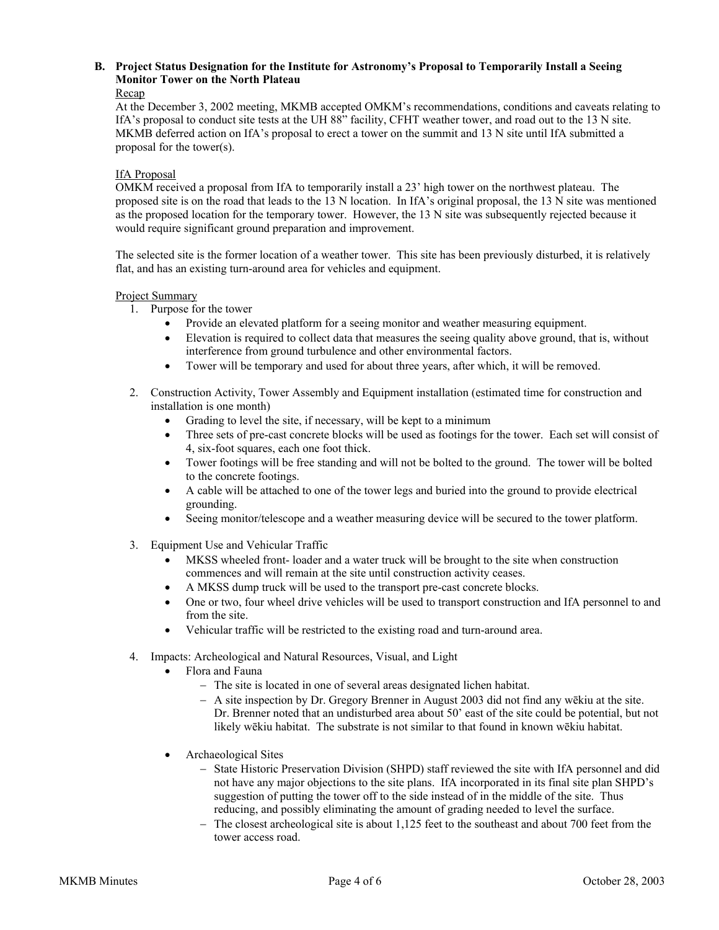# **B. Project Status Designation for the Institute for Astronomy's Proposal to Temporarily Install a Seeing Monitor Tower on the North Plateau**

### Recap

 At the December 3, 2002 meeting, MKMB accepted OMKM's recommendations, conditions and caveats relating to IfA's proposal to conduct site tests at the UH 88" facility, CFHT weather tower, and road out to the 13 N site. MKMB deferred action on IfA's proposal to erect a tower on the summit and 13 N site until IfA submitted a proposal for the tower(s).

### IfA Proposal

 OMKM received a proposal from IfA to temporarily install a 23' high tower on the northwest plateau. The proposed site is on the road that leads to the 13 N location. In IfA's original proposal, the 13 N site was mentioned as the proposed location for the temporary tower. However, the 13 N site was subsequently rejected because it would require significant ground preparation and improvement.

 The selected site is the former location of a weather tower. This site has been previously disturbed, it is relatively flat, and has an existing turn-around area for vehicles and equipment.

### Project Summary

- 1. Purpose for the tower
	- Provide an elevated platform for a seeing monitor and weather measuring equipment.
	- Elevation is required to collect data that measures the seeing quality above ground, that is, without interference from ground turbulence and other environmental factors.
	- Tower will be temporary and used for about three years, after which, it will be removed.
- 2. Construction Activity, Tower Assembly and Equipment installation (estimated time for construction and installation is one month)
	- Grading to level the site, if necessary, will be kept to a minimum
	- Three sets of pre-cast concrete blocks will be used as footings for the tower. Each set will consist of 4, six-foot squares, each one foot thick.
	- Tower footings will be free standing and will not be bolted to the ground. The tower will be bolted to the concrete footings.
	- A cable will be attached to one of the tower legs and buried into the ground to provide electrical grounding.
	- Seeing monitor/telescope and a weather measuring device will be secured to the tower platform.
- 3. Equipment Use and Vehicular Traffic
	- MKSS wheeled front- loader and a water truck will be brought to the site when construction commences and will remain at the site until construction activity ceases.
	- A MKSS dump truck will be used to the transport pre-cast concrete blocks.
	- One or two, four wheel drive vehicles will be used to transport construction and IfA personnel to and from the site.
	- Vehicular traffic will be restricted to the existing road and turn-around area.
- 4. Impacts: Archeological and Natural Resources, Visual, and Light
	- Flora and Fauna
		- − The site is located in one of several areas designated lichen habitat.
		- − A site inspection by Dr. Gregory Brenner in August 2003 did not find any wēkiu at the site. Dr. Brenner noted that an undisturbed area about 50' east of the site could be potential, but not likely wēkiu habitat. The substrate is not similar to that found in known wēkiu habitat.
	- Archaeological Sites
		- − State Historic Preservation Division (SHPD) staff reviewed the site with IfA personnel and did not have any major objections to the site plans. IfA incorporated in its final site plan SHPD's suggestion of putting the tower off to the side instead of in the middle of the site. Thus reducing, and possibly eliminating the amount of grading needed to level the surface.
		- − The closest archeological site is about 1,125 feet to the southeast and about 700 feet from the tower access road.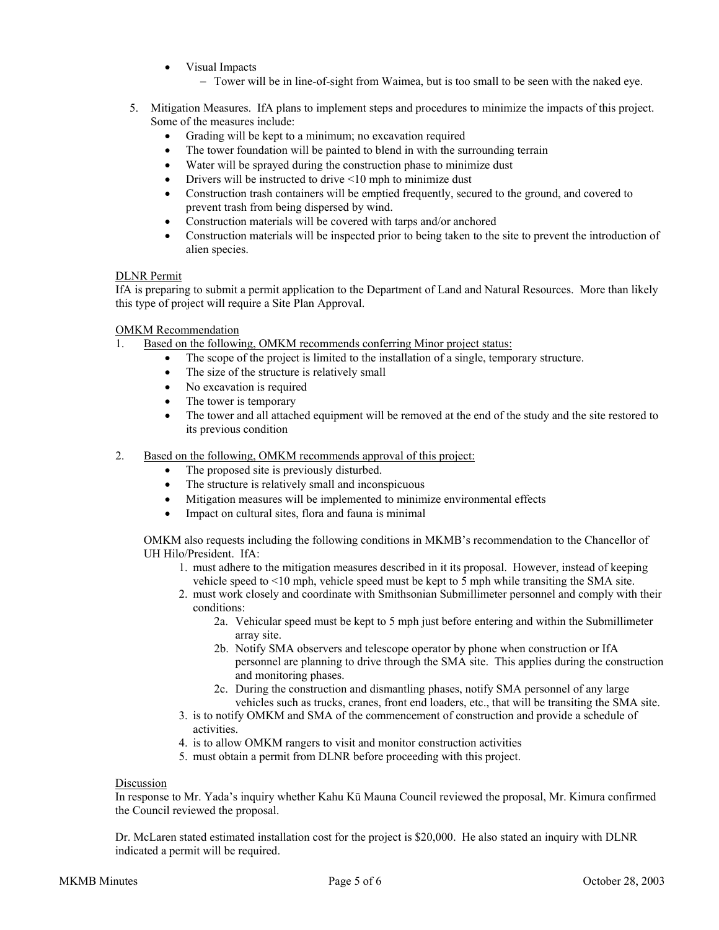- Visual Impacts
	- − Tower will be in line-of-sight from Waimea, but is too small to be seen with the naked eye.
- 5. Mitigation Measures. IfA plans to implement steps and procedures to minimize the impacts of this project. Some of the measures include:
	- Grading will be kept to a minimum; no excavation required
	- The tower foundation will be painted to blend in with the surrounding terrain
	- Water will be sprayed during the construction phase to minimize dust
	- Drivers will be instructed to drive <10 mph to minimize dust
	- Construction trash containers will be emptied frequently, secured to the ground, and covered to prevent trash from being dispersed by wind.
	- Construction materials will be covered with tarps and/or anchored
	- Construction materials will be inspected prior to being taken to the site to prevent the introduction of alien species.

### DLNR Permit

IfA is preparing to submit a permit application to the Department of Land and Natural Resources. More than likely this type of project will require a Site Plan Approval.

### OMKM Recommendation

- 1. Based on the following, OMKM recommends conferring Minor project status:
	- The scope of the project is limited to the installation of a single, temporary structure.
	- The size of the structure is relatively small
	- No excavation is required
	- The tower is temporary
	- The tower and all attached equipment will be removed at the end of the study and the site restored to its previous condition
- 2. Based on the following, OMKM recommends approval of this project:
	- The proposed site is previously disturbed.
	- The structure is relatively small and inconspicuous
	- Mitigation measures will be implemented to minimize environmental effects
	- Impact on cultural sites, flora and fauna is minimal

OMKM also requests including the following conditions in MKMB's recommendation to the Chancellor of UH Hilo/President. IfA:

- 1. must adhere to the mitigation measures described in it its proposal. However, instead of keeping vehicle speed to <10 mph, vehicle speed must be kept to 5 mph while transiting the SMA site.
- 2. must work closely and coordinate with Smithsonian Submillimeter personnel and comply with their conditions:
	- 2a. Vehicular speed must be kept to 5 mph just before entering and within the Submillimeter array site.
	- 2b. Notify SMA observers and telescope operator by phone when construction or IfA personnel are planning to drive through the SMA site. This applies during the construction and monitoring phases.
	- 2c. During the construction and dismantling phases, notify SMA personnel of any large vehicles such as trucks, cranes, front end loaders, etc., that will be transiting the SMA site.
- 3. is to notify OMKM and SMA of the commencement of construction and provide a schedule of activities.
- 4. is to allow OMKM rangers to visit and monitor construction activities
- 5. must obtain a permit from DLNR before proceeding with this project.

#### Discussion

In response to Mr. Yada's inquiry whether Kahu Kū Mauna Council reviewed the proposal, Mr. Kimura confirmed the Council reviewed the proposal.

Dr. McLaren stated estimated installation cost for the project is \$20,000. He also stated an inquiry with DLNR indicated a permit will be required.